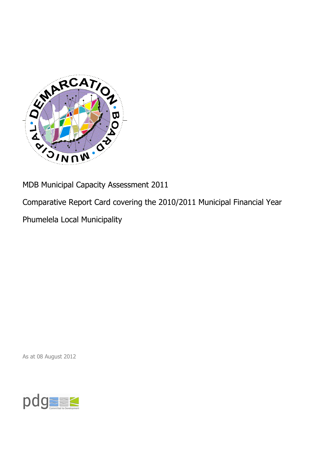

MDB Municipal Capacity Assessment 2011

Comparative Report Card covering the 2010/2011 Municipal Financial Year

Phumelela Local Municipality

As at 08 August 2012

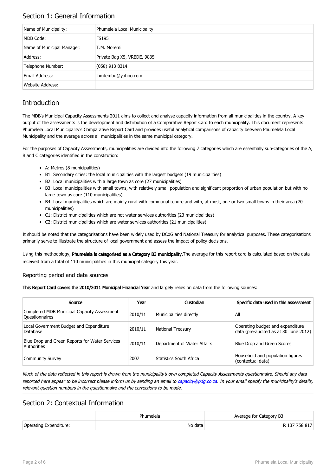## Section 1: General Information

| Name of Municipality:      | Phumelela Local Municipality |
|----------------------------|------------------------------|
| MDB Code:                  | <b>FS195</b>                 |
| Name of Municipal Manager: | T.M. Moremi                  |
| Address:                   | Private Bag X5, VREDE, 9835  |
| Telephone Number:          | $(058)$ 913 8314             |
| Email Address:             | lhmtembu@yahoo.com           |
| Website Address:           |                              |

## **Introduction**

The MDB's Municipal Capacity Assessments 2011 aims to collect and analyse capacity information from all municipalities in the country. A key output of the assessments is the development and distribution of a Comparative Report Card to each municipality. This document represents Phumelela Local Municipality's Comparative Report Card and provides useful analytical comparisons of capacity between Phumelela Local Municipality and the average across all municipalities in the same municipal category.

For the purposes of Capacity Assessments, municipalities are divided into the following 7 categories which are essentially sub-categories of the A, B and C categories identified in the constitution:

- A: Metros (8 municipalities)
- B1: Secondary cities: the local municipalities with the largest budgets (19 municipalities)
- B2: Local municipalities with a large town as core (27 municipalities)
- B3: Local municipalities with small towns, with relatively small population and significant proportion of urban population but with no large town as core (110 municipalities)
- B4: Local municipalities which are mainly rural with communal tenure and with, at most, one or two small towns in their area (70 municipalities)
- C1: District municipalities which are not water services authorities (23 municipalities)
- C2: District municipalities which are water services authorities (21 municipalities)

It should be noted that the categorisations have been widely used by DCoG and National Treasury for analytical purposes. These categorisations primarily serve to illustrate the structure of local government and assess the impact of policy decisions.

Using this methodology, Phumelela is categorised as a Category B3 municipality. The average for this report card is calculated based on the data received from a total of 110 municipalities in this municipal category this year.

#### Reporting period and data sources

This Report Card covers the 2010/2011 Municipal Financial Year and largely relies on data from the following sources:

| Source                                                               | Year    | Custodian                   | Specific data used in this assessment                                     |
|----------------------------------------------------------------------|---------|-----------------------------|---------------------------------------------------------------------------|
| Completed MDB Municipal Capacity Assessment<br><b>Ouestionnaires</b> | 2010/11 | Municipalities directly     | All                                                                       |
| Local Government Budget and Expenditure<br>Database                  | 2010/11 | <b>National Treasury</b>    | Operating budget and expenditure<br>data (pre-audited as at 30 June 2012) |
| Blue Drop and Green Reports for Water Services<br>Authorities        | 2010/11 | Department of Water Affairs | Blue Drop and Green Scores                                                |
| <b>Community Survey</b>                                              | 2007    | Statistics South Africa     | Household and population figures<br>(contextual data)                     |

Much of the data reflected in this report is drawn from the municipality's own completed Capacity Assessments questionnaire. Should any data reported here appear to be incorrect please inform us by sending an email to [capacity@pdg.co.za](mailto:capacity@pdg.co.za). In your email specify the municipality's details, relevant question numbers in the questionnaire and the corrections to be made.

### Section 2: Contextual Information

|                        | Phumelela | Average for Category B3 |
|------------------------|-----------|-------------------------|
| Operating Expenditure: | No data   | R 137 758 817           |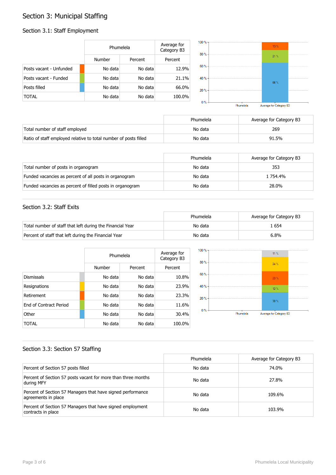# Section 3: Municipal Staffing

#### Section 3.1: Staff Employment

|                         | Phumelela |         | Average for<br>Category B3 |
|-------------------------|-----------|---------|----------------------------|
|                         | Number    | Percent | Percent                    |
| Posts vacant - Unfunded | No data   | No data | 12.9%                      |
| Posts vacant - Funded   | No data   | No data | 21.1%                      |
| Posts filled            | No data   | No data | 66.0%                      |
| <b>TOTAL</b>            | No data   | No data | 100.0%                     |



|                                                                  | Phumelela | Average for Category B3 |
|------------------------------------------------------------------|-----------|-------------------------|
| Total number of staff employed                                   | No data   | 269                     |
| Ratio of staff employed relative to total number of posts filled | No data   | 91.5%                   |

|                                                           | Phumelela | Average for Category B3 |
|-----------------------------------------------------------|-----------|-------------------------|
| Total number of posts in organogram                       | No data   | 353                     |
| Funded vacancies as percent of all posts in organogram    | No data   | 1 754.4%                |
| Funded vacancies as percent of filled posts in organogram | No data   | 28.0%                   |

#### Section 3.2: Staff Exits

|                                                           | Phumelela | Average for Category B3 |
|-----------------------------------------------------------|-----------|-------------------------|
| Total number of staff that left during the Financial Year | No data   | . 654                   |
| Percent of staff that left during the Financial Year      | No data   | 6.8%                    |

|                               |         | Phumelela |         |
|-------------------------------|---------|-----------|---------|
|                               | Number  | Percent   | Percent |
| <b>Dismissals</b>             | No data | No data   | 10.8%   |
| Resignations                  | No data | No data   | 23.9%   |
| Retirement                    | No data | No data   | 23.3%   |
| <b>Fnd of Contract Period</b> | No data | No data   | 11.6%   |
| Other                         | No data | No data   | 30.4%   |
| <b>TOTAL</b>                  | No data | No data   | 100.0%  |



#### Section 3.3: Section 57 Staffing

|                                                                                    | Phumelela | Average for Category B3 |
|------------------------------------------------------------------------------------|-----------|-------------------------|
| Percent of Section 57 posts filled                                                 | No data   | 74.0%                   |
| Percent of Section 57 posts vacant for more than three months<br>during MFY        | No data   | 27.8%                   |
| Percent of Section 57 Managers that have signed performance<br>agreements in place | No data   | 109.6%                  |
| Percent of Section 57 Managers that have signed employment<br>contracts in place   | No data   | 103.9%                  |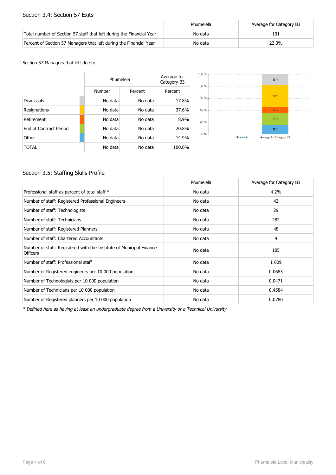#### Section 3.4: Section 57 Exits

|                                                                      | Phumelela | Average for Category B3 |
|----------------------------------------------------------------------|-----------|-------------------------|
| Total number of Section 57 staff that left during the Financial Year | No data   | 101                     |
| Percent of Section 57 Managers that left during the Financial Year   | No data   | 22.3%                   |

Section 57 Managers that left due to:

|                        | Phumelela |         | Average for<br>Category B3 |
|------------------------|-----------|---------|----------------------------|
|                        | Number    | Percent | Percent                    |
| <b>Dismissals</b>      | No data   | No data | 17.8%                      |
| Resignations           | No data   | No data | 37.6%                      |
| Retirement             | No data   | No data | 8.9%                       |
| End of Contract Period | No data   | No data | 20.8%                      |
| Other                  | No data   | No data | 14.9%                      |
| TOTAL                  | No data   | No data | 100.0%                     |



#### Section 3.5: Staffing Skills Profile

|                                                                                        | Phumelela | Average for Category B3 |
|----------------------------------------------------------------------------------------|-----------|-------------------------|
| Professional staff as percent of total staff *                                         | No data   | 4.2%                    |
| Number of staff: Registered Professional Engineers                                     | No data   | 42                      |
| Number of staff: Technologists                                                         | No data   | 29                      |
| Number of staff: Technicians                                                           | No data   | 282                     |
| Number of staff: Registered Planners                                                   | No data   | 48                      |
| Number of staff: Chartered Accountants                                                 | No data   | 9                       |
| Number of staff: Registered with the Institute of Municipal Finance<br><b>Officers</b> | No data   | 105                     |
| Number of staff: Professional staff                                                    | No data   | 1 0 0 9                 |
| Number of Registered engineers per 10 000 population                                   | No data   | 0.0683                  |
| Number of Technologists per 10 000 population                                          | No data   | 0.0471                  |
| Number of Technicians per 10 000 population                                            | No data   | 0.4584                  |
| Number of Registered planners per 10 000 population                                    | No data   | 0.0780                  |

\* Defined here as having at least an undergraduate degree from a University or a Technical University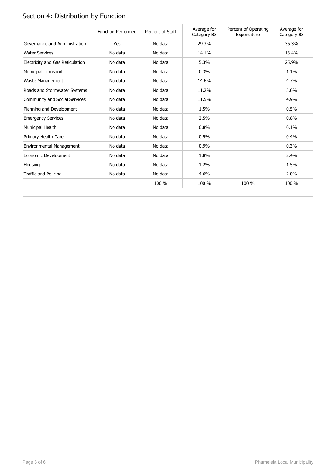# Section 4: Distribution by Function

|                                  | <b>Function Performed</b> | Percent of Staff | Average for<br>Category B3 | Percent of Operating<br>Expenditure | Average for<br>Category B3 |
|----------------------------------|---------------------------|------------------|----------------------------|-------------------------------------|----------------------------|
| Governance and Administration    | Yes                       | No data          | 29.3%                      |                                     | 36.3%                      |
| <b>Water Services</b>            | No data                   | No data          | 14.1%                      |                                     | 13.4%                      |
| Electricity and Gas Reticulation | No data                   | No data          | 5.3%                       |                                     | 25.9%                      |
| <b>Municipal Transport</b>       | No data                   | No data          | 0.3%                       |                                     | 1.1%                       |
| Waste Management                 | No data                   | No data          | 14.6%                      |                                     | 4.7%                       |
| Roads and Stormwater Systems     | No data                   | No data          | 11.2%                      |                                     | 5.6%                       |
| Community and Social Services    | No data                   | No data          | 11.5%                      |                                     | 4.9%                       |
| Planning and Development         | No data                   | No data          | 1.5%                       |                                     | 0.5%                       |
| <b>Emergency Services</b>        | No data                   | No data          | 2.5%                       |                                     | 0.8%                       |
| Municipal Health                 | No data                   | No data          | 0.8%                       |                                     | 0.1%                       |
| Primary Health Care              | No data                   | No data          | 0.5%                       |                                     | 0.4%                       |
| Environmental Management         | No data                   | No data          | 0.9%                       |                                     | 0.3%                       |
| Economic Development             | No data                   | No data          | 1.8%                       |                                     | 2.4%                       |
| Housing                          | No data                   | No data          | 1.2%                       |                                     | 1.5%                       |
| Traffic and Policing             | No data                   | No data          | 4.6%                       |                                     | 2.0%                       |
|                                  |                           | 100 %            | 100 %                      | 100 %                               | 100 %                      |